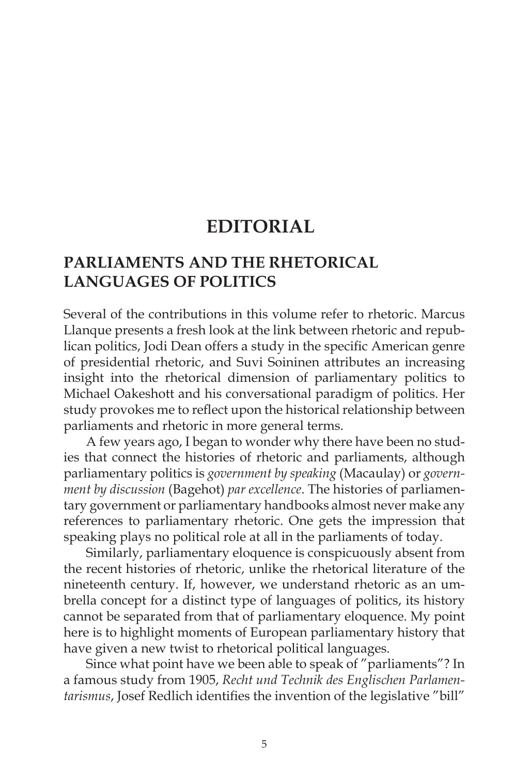# **EDITORIAL**

## **PARLIAMENTS AND THE RHETORICAL LANGUAGES OF POLITICS**

Several of the contributions in this volume refer to rhetoric. Marcus Llanque presents a fresh look at the link between rhetoric and republican politics, Jodi Dean offers a study in the specific American genre of presidential rhetoric, and Suvi Soininen attributes an increasing insight into the rhetorical dimension of parliamentary politics to Michael Oakeshott and his conversational paradigm of politics. Her study provokes me to reflect upon the historical relationship between parliaments and rhetoric in more general terms.

A few years ago, I began to wonder why there have been no studies that connect the histories of rhetoric and parliaments, although parliamentary politics is *government by speaking* (Macaulay) or *government by discussion* (Bagehot) *par excellence*. The histories of parliamentary government or parliamentary handbooks almost never make any references to parliamentary rhetoric. One gets the impression that speaking plays no political role at all in the parliaments of today.

Similarly, parliamentary eloquence is conspicuously absent from the recent histories of rhetoric, unlike the rhetorical literature of the nineteenth century. If, however, we understand rhetoric as an umbrella concept for a distinct type of languages of politics, its history cannot be separated from that of parliamentary eloquence. My point here is to highlight moments of European parliamentary history that have given a new twist to rhetorical political languages.

Since what point have we been able to speak of "parliaments"? In a famous study from 1905, *Recht und Technik des Englischen Parlamentarismus*, Josef Redlich identifies the invention of the legislative "bill"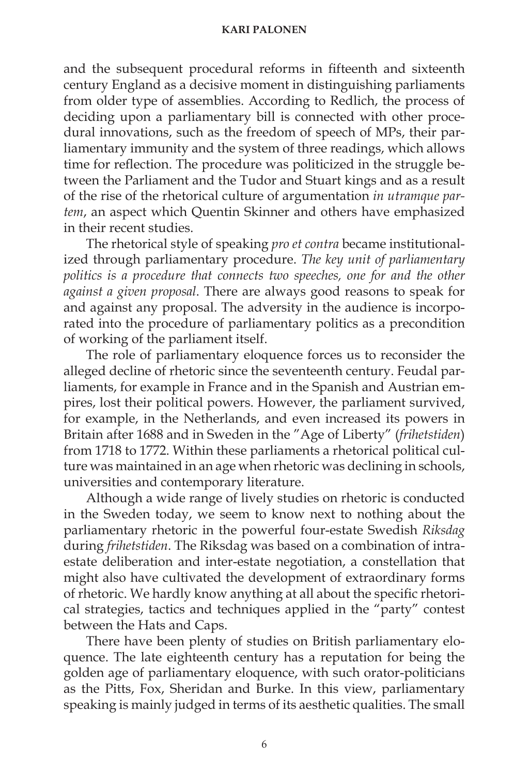#### **KARI PALONEN**

and the subsequent procedural reforms in fifteenth and sixteenth century England as a decisive moment in distinguishing parliaments from older type of assemblies. According to Redlich, the process of deciding upon a parliamentary bill is connected with other procedural innovations, such as the freedom of speech of MPs, their parliamentary immunity and the system of three readings, which allows time for reflection. The procedure was politicized in the struggle between the Parliament and the Tudor and Stuart kings and as a result of the rise of the rhetorical culture of argumentation *in utramque partem*, an aspect which Quentin Skinner and others have emphasized in their recent studies.

The rhetorical style of speaking *pro et contra* became institutionalized through parliamentary procedure. *The key unit of parliamentary politics is a procedure that connects two speeches, one for and the other against a given proposal*. There are always good reasons to speak for and against any proposal. The adversity in the audience is incorporated into the procedure of parliamentary politics as a precondition of working of the parliament itself.

The role of parliamentary eloquence forces us to reconsider the alleged decline of rhetoric since the seventeenth century. Feudal parliaments, for example in France and in the Spanish and Austrian empires, lost their political powers. However, the parliament survived, for example, in the Netherlands, and even increased its powers in Britain after 1688 and in Sweden in the "Age of Liberty" (*frihetstiden*) from 1718 to 1772. Within these parliaments a rhetorical political culture was maintained in an age when rhetoric was declining in schools, universities and contemporary literature.

Although a wide range of lively studies on rhetoric is conducted in the Sweden today, we seem to know next to nothing about the parliamentary rhetoric in the powerful four-estate Swedish *Riksdag* during *frihetstiden*. The Riksdag was based on a combination of intraestate deliberation and inter-estate negotiation, a constellation that might also have cultivated the development of extraordinary forms of rhetoric. We hardly know anything at all about the specific rhetorical strategies, tactics and techniques applied in the "party" contest between the Hats and Caps.

There have been plenty of studies on British parliamentary eloquence. The late eighteenth century has a reputation for being the golden age of parliamentary eloquence, with such orator-politicians as the Pitts, Fox, Sheridan and Burke. In this view, parliamentary speaking is mainly judged in terms of its aesthetic qualities. The small

6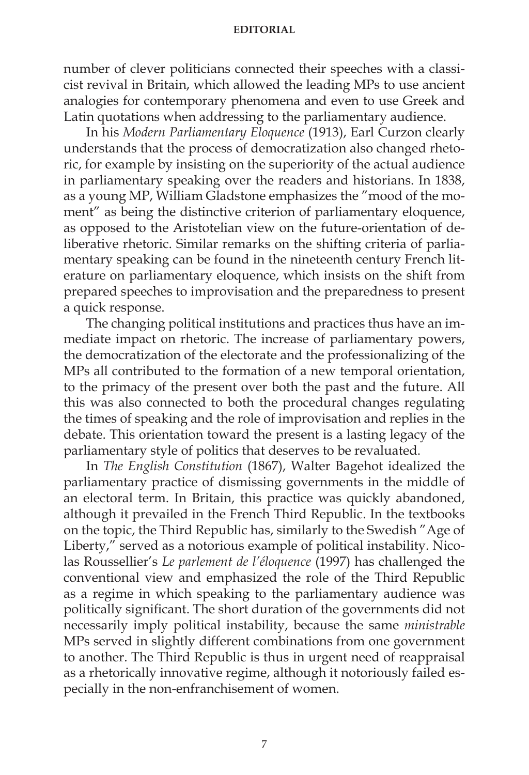#### **EDITORIAL**

number of clever politicians connected their speeches with a classicist revival in Britain, which allowed the leading MPs to use ancient analogies for contemporary phenomena and even to use Greek and Latin quotations when addressing to the parliamentary audience.

In his *Modern Parliamentary Eloquence* (1913), Earl Curzon clearly understands that the process of democratization also changed rhetoric, for example by insisting on the superiority of the actual audience in parliamentary speaking over the readers and historians. In 1838, as a young MP, William Gladstone emphasizes the "mood of the moment" as being the distinctive criterion of parliamentary eloquence, as opposed to the Aristotelian view on the future-orientation of deliberative rhetoric. Similar remarks on the shifting criteria of parliamentary speaking can be found in the nineteenth century French literature on parliamentary eloquence, which insists on the shift from prepared speeches to improvisation and the preparedness to present a quick response.

The changing political institutions and practices thus have an immediate impact on rhetoric. The increase of parliamentary powers, the democratization of the electorate and the professionalizing of the MPs all contributed to the formation of a new temporal orientation, to the primacy of the present over both the past and the future. All this was also connected to both the procedural changes regulating the times of speaking and the role of improvisation and replies in the debate. This orientation toward the present is a lasting legacy of the parliamentary style of politics that deserves to be revaluated.

In *The English Constitution* (1867), Walter Bagehot idealized the parliamentary practice of dismissing governments in the middle of an electoral term. In Britain, this practice was quickly abandoned, although it prevailed in the French Third Republic. In the textbooks on the topic, the Third Republic has, similarly to the Swedish "Age of Liberty," served as a notorious example of political instability. Nicolas Roussellier's *Le parlement de l'éloquence* (1997) has challenged the conventional view and emphasized the role of the Third Republic as a regime in which speaking to the parliamentary audience was politically significant. The short duration of the governments did not necessarily imply political instability, because the same *ministrable*  MPs served in slightly different combinations from one government to another. The Third Republic is thus in urgent need of reappraisal as a rhetorically innovative regime, although it notoriously failed especially in the non-enfranchisement of women.